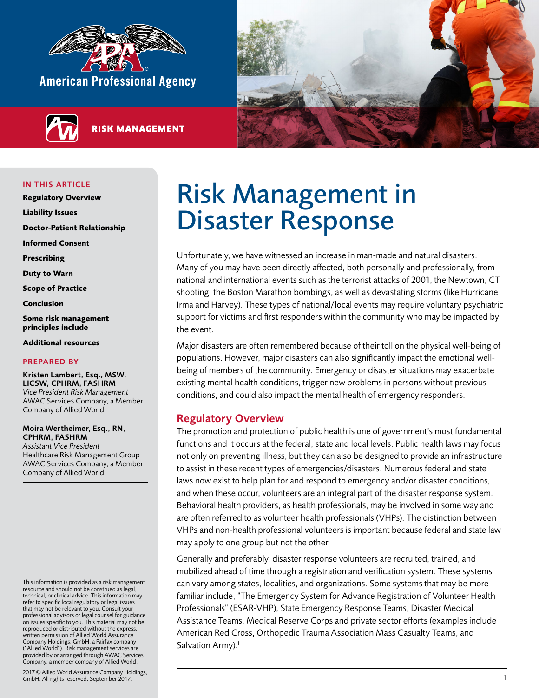<span id="page-0-0"></span>

**RISK MANAGEMENT** 



IN THIS ARTICLE

**Regulatory Overview** 

**[Liability Issues](#page-2-0)**

**[Doctor-Patient Relationship](#page-2-0)**

**[Informed Consent](#page-3-0)**

**[Prescribing](#page-3-0)**

**[Duty to Warn](#page-3-0)**

**[Scope of Practice](#page-3-0)**

**[Conclusion](#page-4-0)**

**[Some risk management](#page-4-0)  [principles include](#page-4-0)**

#### **[Additional resources](#page-4-0)**

#### PREPARED BY

Kristen Lambert, Esq., MSW, LICSW, CPHRM, FASHRM *Vice President Risk Management* AWAC Services Company, a Member Company of Allied World

Moira Wertheimer, Esq., RN, CPHRM, FASHRM *Assistant Vice President*  Healthcare Risk Management Group AWAC Services Company, a Member

Company of Allied World

This information is provided as a risk management resource and should not be construed as legal, technical, or clinical advice. This information may refer to specific local regulatory or legal issues that may not be relevant to you. Consult your professional advisors or legal counsel for guidance on issues specific to you. This material may not be reproduced or distributed without the express, written permission of Allied World Assurance Company Holdings, GmbH, a Fairfax company ("Allied World"). Risk management services are provided by or arranged through AWAC Services Company, a member company of Allied World.

2017 © Allied World Assurance Company Holdings, GmbH. All rights reserved. September 2017. 1

# Risk Management in Disaster Response

Unfortunately, we have witnessed an increase in man-made and natural disasters. Many of you may have been directly affected, both personally and professionally, from national and international events such as the terrorist attacks of 2001, the Newtown, CT shooting, the Boston Marathon bombings, as well as devastating storms (like Hurricane Irma and Harvey). These types of national/local events may require voluntary psychiatric support for victims and first responders within the community who may be impacted by the event.

Major disasters are often remembered because of their toll on the physical well-being of populations. However, major disasters can also significantly impact the emotional wellbeing of members of the community. Emergency or disaster situations may exacerbate existing mental health conditions, trigger new problems in persons without previous conditions, and could also impact the mental health of emergency responders.

## Regulatory Overview

The promotion and protection of public health is one of government's most fundamental functions and it occurs at the federal, state and local levels. Public health laws may focus not only on preventing illness, but they can also be designed to provide an infrastructure to assist in these recent types of emergencies/disasters. Numerous federal and state laws now exist to help plan for and respond to emergency and/or disaster conditions, and when these occur, volunteers are an integral part of the disaster response system. Behavioral health providers, as health professionals, may be involved in some way and are often referred to as volunteer health professionals (VHPs). The distinction between VHPs and non-health professional volunteers is important because federal and state law may apply to one group but not the other.

Generally and preferably, disaster response volunteers are recruited, trained, and mobilized ahead of time through a registration and verification system. These systems can vary among states, localities, and organizations. Some systems that may be more familiar include, "The Emergency System for Advance Registration of Volunteer Health Professionals" (ESAR-VHP), State Emergency Response Teams, Disaster Medical Assistance Teams, Medical Reserve Corps and private sector efforts (examples include American Red Cross, Orthopedic Trauma Association Mass Casualty Teams, and Salvation Army).<sup>1</sup>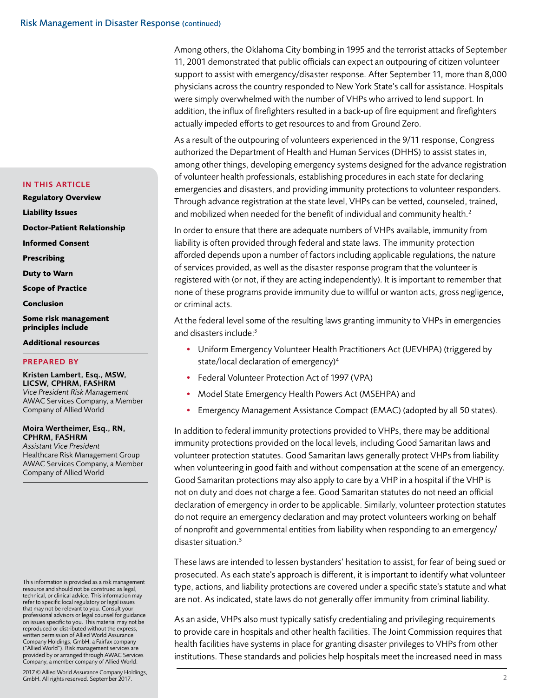11, 2001 demonstrated that public officials can expect an outpouring of citizen volunteer support to assist with emergency/disaster response. After September 11, more than 8,000 physicians across the country responded to New York State's call for assistance. Hospitals were simply overwhelmed with the number of VHPs who arrived to lend support. In addition, the influx of firefighters resulted in a back-up of fire equipment and firefighters actually impeded efforts to get resources to and from Ground Zero.

Among others, the Oklahoma City bombing in 1995 and the terrorist attacks of September

As a result of the outpouring of volunteers experienced in the 9/11 response, Congress authorized the Department of Health and Human Services (DHHS) to assist states in, among other things, developing emergency systems designed for the advance registration of volunteer health professionals, establishing procedures in each state for declaring emergencies and disasters, and providing immunity protections to volunteer responders. Through advance registration at the state level, VHPs can be vetted, counseled, trained, and mobilized when needed for the benefit of individual and community health.<sup>2</sup>

In order to ensure that there are adequate numbers of VHPs available, immunity from liability is often provided through federal and state laws. The immunity protection afforded depends upon a number of factors including applicable regulations, the nature of services provided, as well as the disaster response program that the volunteer is registered with (or not, if they are acting independently). It is important to remember that none of these programs provide immunity due to willful or wanton acts, gross negligence, or criminal acts.

At the federal level some of the resulting laws granting immunity to VHPs in emergencies and disasters include:<sup>3</sup>

- Uniform Emergency Volunteer Health Practitioners Act (UEVHPA) (triggered by state/local declaration of emergency)4
- Federal Volunteer Protection Act of 1997 (VPA)
- Model State Emergency Health Powers Act (MSEHPA) and
- Emergency Management Assistance Compact (EMAC) (adopted by all 50 states).

In addition to federal immunity protections provided to VHPs, there may be additional immunity protections provided on the local levels, including Good Samaritan laws and volunteer protection statutes. Good Samaritan laws generally protect VHPs from liability when volunteering in good faith and without compensation at the scene of an emergency. Good Samaritan protections may also apply to care by a VHP in a hospital if the VHP is not on duty and does not charge a fee. Good Samaritan statutes do not need an official declaration of emergency in order to be applicable. Similarly, volunteer protection statutes do not require an emergency declaration and may protect volunteers working on behalf of nonprofit and governmental entities from liability when responding to an emergency/ disaster situation.<sup>5</sup>

These laws are intended to lessen bystanders' hesitation to assist, for fear of being sued or prosecuted. As each state's approach is different, it is important to identify what volunteer type, actions, and liability protections are covered under a specific state's statute and what are not. As indicated, state laws do not generally offer immunity from criminal liability.

As an aside, VHPs also must typically satisfy credentialing and privileging requirements to provide care in hospitals and other health facilities. The Joint Commission requires that health facilities have systems in place for granting disaster privileges to VHPs from other institutions. These standards and policies help hospitals meet the increased need in mass

#### IN THIS ARTICLE

**[Regulatory Overview](#page-0-0)** 

**[Liability Issues](#page-2-0)**

**[Doctor-Patient Relationship](#page-2-0)**

**[Informed Consent](#page-3-0)**

**[Prescribing](#page-3-0)**

**[Duty to Warn](#page-3-0)**

**[Scope of Practice](#page-3-0)**

**[Conclusion](#page-4-0)**

**[Some risk management](#page-4-0)  [principles include](#page-4-0)**

#### **[Additional resources](#page-4-0)**

#### PREPARED BY

## Kristen Lambert, Esq., MSW, LICSW, CPHRM, FASHRM

*Vice President Risk Management* AWAC Services Company, a Member Company of Allied World

#### Moira Wertheimer, Esq., RN, CPHRM, FASHRM

*Assistant Vice President*  Healthcare Risk Management Group AWAC Services Company, a Member Company of Allied World

This information is provided as a risk management resource and should not be construed as legal, technical, or clinical advice. This information may refer to specific local regulatory or legal issues that may not be relevant to you. Consult your professional advisors or legal counsel for guidance on issues specific to you. This material may not be reproduced or distributed without the express, written permission of Allied World Assurance Company Holdings, GmbH, a Fairfax company ("Allied World"). Risk management services are provided by or arranged through AWAC Services Company, a member company of Allied World.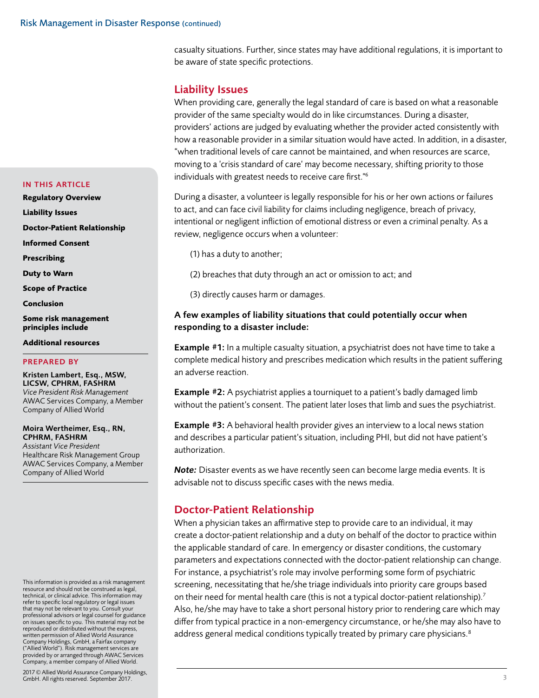<span id="page-2-0"></span>casualty situations. Further, since states may have additional regulations, it is important to be aware of state specific protections.

# Liability Issues

When providing care, generally the legal standard of care is based on what a reasonable provider of the same specialty would do in like circumstances. During a disaster, providers' actions are judged by evaluating whether the provider acted consistently with how a reasonable provider in a similar situation would have acted. In addition, in a disaster, "when traditional levels of care cannot be maintained, and when resources are scarce, moving to a 'crisis standard of care' may become necessary, shifting priority to those individuals with greatest needs to receive care first."6

During a disaster, a volunteer is legally responsible for his or her own actions or failures to act, and can face civil liability for claims including negligence, breach of privacy, intentional or negligent infliction of emotional distress or even a criminal penalty. As a review, negligence occurs when a volunteer:

- (1) has a duty to another;
- (2) breaches that duty through an act or omission to act; and

(3) directly causes harm or damages.

## A few examples of liability situations that could potentially occur when responding to a disaster include:

**Example #1:** In a multiple casualty situation, a psychiatrist does not have time to take a complete medical history and prescribes medication which results in the patient suffering an adverse reaction.

**Example #2:** A psychiatrist applies a tourniquet to a patient's badly damaged limb without the patient's consent. The patient later loses that limb and sues the psychiatrist.

**Example #3:** A behavioral health provider gives an interview to a local news station and describes a particular patient's situation, including PHI, but did not have patient's authorization.

*Note:* Disaster events as we have recently seen can become large media events. It is advisable not to discuss specific cases with the news media.

# Doctor-Patient Relationship

When a physician takes an affirmative step to provide care to an individual, it may create a doctor-patient relationship and a duty on behalf of the doctor to practice within the applicable standard of care. In emergency or disaster conditions, the customary parameters and expectations connected with the doctor-patient relationship can change. For instance, a psychiatrist's role may involve performing some form of psychiatric screening, necessitating that he/she triage individuals into priority care groups based on their need for mental health care (this is not a typical doctor-patient relationship).<sup>7</sup> Also, he/she may have to take a short personal history prior to rendering care which may differ from typical practice in a non-emergency circumstance, or he/she may also have to address general medical conditions typically treated by primary care physicians.<sup>8</sup>

## IN THIS ARTICLE

- **[Regulatory Overview](#page-0-0)**
- **Liability Issues**

**Doctor-Patient Relationship**

**[Informed Consent](#page-3-0)**

**[Prescribing](#page-3-0)**

**[Duty to Warn](#page-3-0)**

**[Scope of Practice](#page-3-0)**

**[Conclusion](#page-4-0)**

**[Some risk management](#page-4-0)  [principles include](#page-4-0)**

**[Additional resources](#page-4-0)**

## PREPARED BY

Kristen Lambert, Esq., MSW, LICSW, CPHRM, FASHRM *Vice President Risk Management* AWAC Services Company, a Member Company of Allied World

Moira Wertheimer, Esq., RN, CPHRM, FASHRM *Assistant Vice President*  Healthcare Risk Management Group

AWAC Services Company, a Member Company of Allied World

This information is provided as a risk management resource and should not be construed as legal, technical, or clinical advice. This information may refer to specific local regulatory or legal issues that may not be relevant to you. Consult your professional advisors or legal counsel for guidance on issues specific to you. This material may not be reproduced or distributed without the express, written permission of Allied World Assurance Company Holdings, GmbH, a Fairfax company ("Allied World"). Risk management services are provided by or arranged through AWAC Services Company, a member company of Allied World.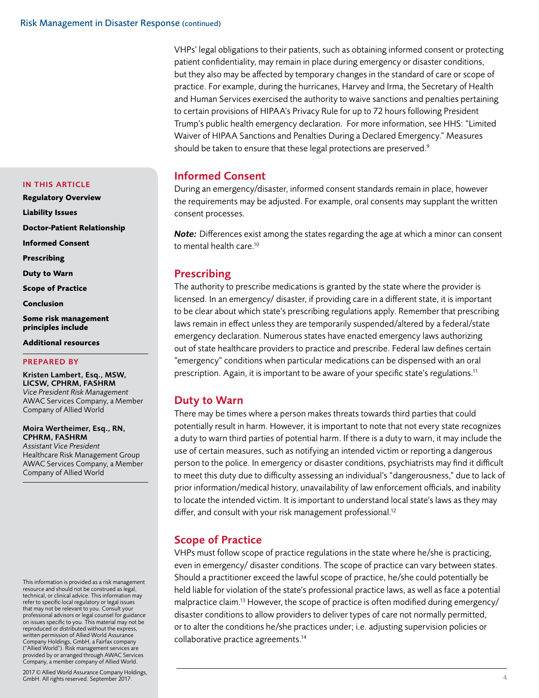VHPs' legal obligations to their patients, such as obtaining informed consent or protecting patient confidentiality, may remain in place during emergency or disaster conditions, but they also may be affected by temporary changes in the standard of care or scope of practice. For example, during the hurricanes, Harvey and Irma, the Secretary of Health and Human Services exercised the authority to waive sanctions and penalties pertaining to certain provisions of HIPAA's Privacy Rule for up to 72 hours following President Trump's public health emergency declaration. For more information, see HHS: "Limited Waiver of HIPAA Sanctions and Penalties During a Declared Emergency." Measures should be taken to ensure that these legal protections are preserved.<sup>9</sup>

## Informed Consent

During an emergency/disaster, informed consent standards remain in place, however the requirements may be adjusted. For example, oral consents may supplant the written consent processes.

*Note:* Differences exist among the states regarding the age at which a minor can consent to mental health care.<sup>10</sup>

# Prescribing

The authority to prescribe medications is granted by the state where the provider is licensed. In an emergency/ disaster, if providing care in a different state, it is important to be clear about which state's prescribing regulations apply. Remember that prescribing laws remain in effect unless they are temporarily suspended/altered by a federal/state emergency declaration. Numerous states have enacted emergency laws authorizing out of state healthcare providers to practice and prescribe. Federal law defines certain "emergency" conditions when particular medications can be dispensed with an oral prescription. Again, it is important to be aware of your specific state's regulations.<sup>11</sup>

# Duty to Warn

There may be times where a person makes threats towards third parties that could potentially result in harm. However, it is important to note that not every state recognizes a duty to warn third parties of potential harm. If there is a duty to warn, it may include the use of certain measures, such as notifying an intended victim or reporting a dangerous person to the police. In emergency or disaster conditions, psychiatrists may find it difficult to meet this duty due to difficulty assessing an individual's "dangerousness," due to lack of prior information/medical history, unavailability of law enforcement officials, and inability to locate the intended victim. It is important to understand local state's laws as they may differ, and consult with your risk management professional.<sup>12</sup>

## Scope of Practice

VHPs must follow scope of practice regulations in the state where he/she is practicing, even in emergency/ disaster conditions. The scope of practice can vary between states. Should a practitioner exceed the lawful scope of practice, he/she could potentially be held liable for violation of the state's professional practice laws, as well as face a potential malpractice claim.<sup>13</sup> However, the scope of practice is often modified during emergency/ disaster conditions to allow providers to deliver types of care not normally permitted, or to alter the conditions he/she practices under; i.e. adjusting supervision policies or collaborative practice agreements.14

## <span id="page-3-0"></span>IN THIS ARTICLE

**[Regulatory Overview](#page-0-0)  [Liability Issues](#page-2-0) [Doctor-Patient Relationship](#page-2-0) Informed Consent**

**Prescribing**

**Duty to Warn**

**Scope of Practice**

**[Conclusion](#page-4-0)**

**[Some risk management](#page-4-0)  [principles include](#page-4-0)**

**[Additional resources](#page-4-0)**

## PREPARED BY

Kristen Lambert, Esq., MSW, LICSW, CPHRM, FASHRM *Vice President Risk Management* AWAC Services Company, a Member Company of Allied World

## Moira Wertheimer, Esq., RN, CPHRM, FASHRM

*Assistant Vice President*  Healthcare Risk Management Group AWAC Services Company, a Member Company of Allied World

This information is provided as a risk management resource and should not be construed as legal, technical, or clinical advice. This information may refer to specific local regulatory or legal issues that may not be relevant to you. Consult your professional advisors or legal counsel for guidance on issues specific to you. This material may not be reproduced or distributed without the express, written permission of Allied World Assurance Company Holdings, GmbH, a Fairfax company ("Allied World"). Risk management services are provided by or arranged through AWAC Services Company, a member company of Allied World.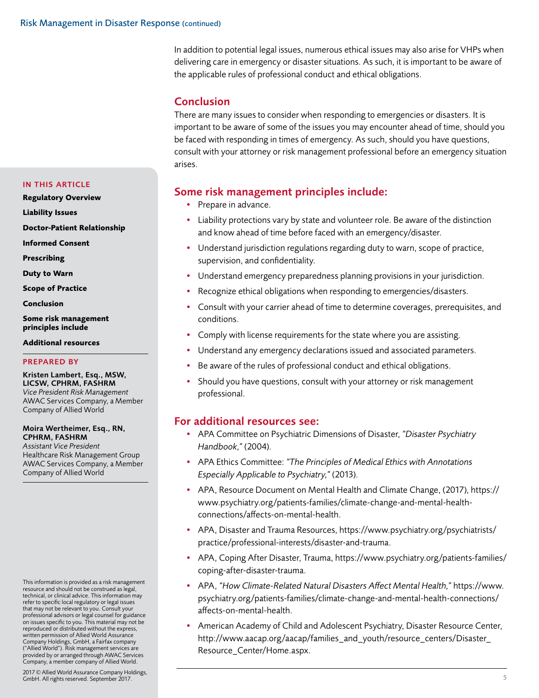<span id="page-4-0"></span>In addition to potential legal issues, numerous ethical issues may also arise for VHPs when delivering care in emergency or disaster situations. As such, it is important to be aware of the applicable rules of professional conduct and ethical obligations.

# Conclusion

There are many issues to consider when responding to emergencies or disasters. It is important to be aware of some of the issues you may encounter ahead of time, should you be faced with responding in times of emergency. As such, should you have questions, consult with your attorney or risk management professional before an emergency situation arises.

# Some risk management principles include:

- Prepare in advance.
- Liability protections vary by state and volunteer role. Be aware of the distinction and know ahead of time before faced with an emergency/disaster.
- Understand jurisdiction regulations regarding duty to warn, scope of practice, supervision, and confidentiality.
- Understand emergency preparedness planning provisions in your jurisdiction.
- Recognize ethical obligations when responding to emergencies/disasters.
- Consult with your carrier ahead of time to determine coverages, prerequisites, and conditions.
- Comply with license requirements for the state where you are assisting.
- Understand any emergency declarations issued and associated parameters.
- Be aware of the rules of professional conduct and ethical obligations.
- Should you have questions, consult with your attorney or risk management professional.

## For additional resources see:

- APA Committee on Psychiatric Dimensions of Disaster, *"Disaster Psychiatry Handbook,"* (2004).
- APA Ethics Committee: *"The Principles of Medical Ethics with Annotations Especially Applicable to Psychiatry,"* (2013).
- APA, Resource Document on Mental Health and Climate Change, (2017), https:// www.psychiatry.org/patients-families/climate-change-and-mental-healthconnections/affects-on-mental-health.
- APA, Disaster and Trauma Resources, https://www.psychiatry.org/psychiatrists/ practice/professional-interests/disaster-and-trauma.
- APA, Coping After Disaster, Trauma, https://www.psychiatry.org/patients-families/ coping-after-disaster-trauma.
- APA, *"How Climate-Related Natural Disasters Affect Mental Health,"* https://www. psychiatry.org/patients-families/climate-change-and-mental-health-connections/ affects-on-mental-health.
- American Academy of Child and Adolescent Psychiatry, Disaster Resource Center, http://www.aacap.org/aacap/families\_and\_youth/resource\_centers/Disaster\_ Resource\_Center/Home.aspx.

## IN THIS ARTICLE

- **[Regulatory Overview](#page-0-0)**
- **[Liability Issues](#page-2-0)**
- **[Doctor-Patient Relationship](#page-2-0)**
- **[Informed Consent](#page-3-0)**
- **[Prescribing](#page-3-0)**
- **[Duty to Warn](#page-3-0)**
- **[Scope of Practice](#page-3-0)**
- **Conclusion**

**Some risk management principles include**

**Additional resources**

## PREPARED BY

Kristen Lambert, Esq., MSW, LICSW, CPHRM, FASHRM *Vice President Risk Management* AWAC Services Company, a Member Company of Allied World

## Moira Wertheimer, Esq., RN, CPHRM, FASHRM

*Assistant Vice President*  Healthcare Risk Management Group AWAC Services Company, a Member Company of Allied World

This information is provided as a risk management resource and should not be construed as legal, technical, or clinical advice. This information may refer to specific local regulatory or legal issues that may not be relevant to you. Consult your professional advisors or legal counsel for guidance on issues specific to you. This material may not be reproduced or distributed without the express, written permission of Allied World Assurance Company Holdings, GmbH, a Fairfax company ("Allied World"). Risk management services are provided by or arranged through AWAC Services Company, a member company of Allied World.